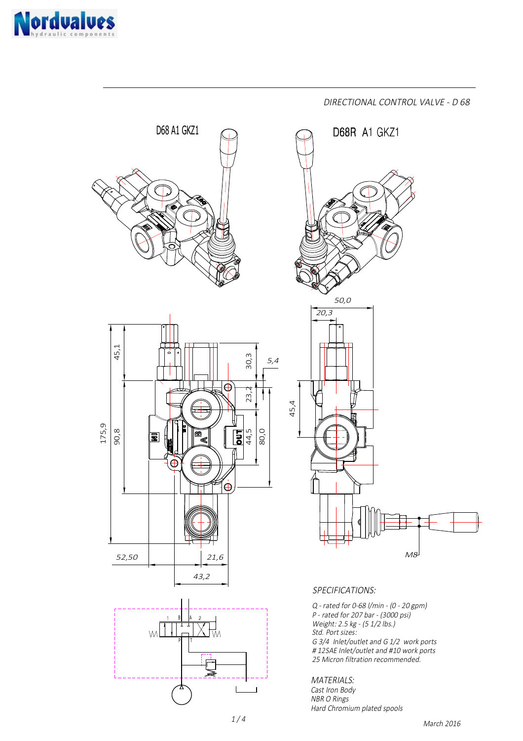



March 2016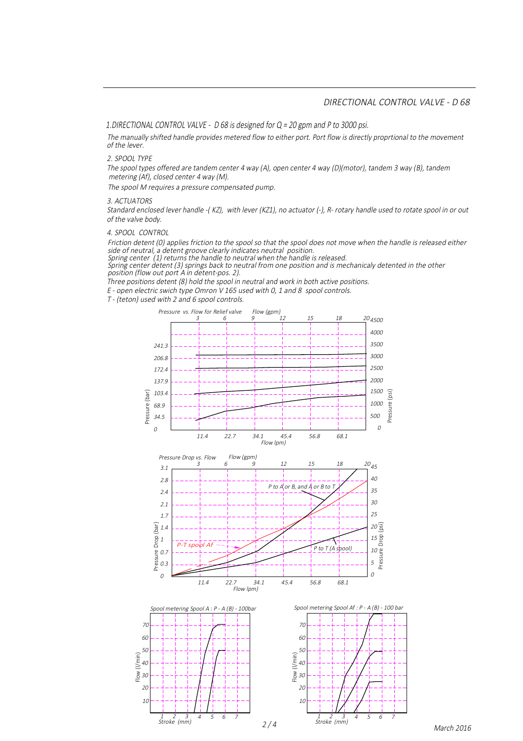## DIRECTIONAL CONTROL VALVE - D 68

1.DIRECTIONAL CONTROL VALVE - D 68 is designed for Q = 20 gpm and P to 3000 psi.

The manually shifted handle provides metered flow to either port. Port flow is directly proprtional to the movement of the lever.

2. SPOOL TYPE

The spool types offered are tandem center 4 way (A), open center 4 way (D)(motor), tandem 3 way (B), tandem metering (Af), closed center 4 way (M).

The spool M requires a pressure compensated pump.

3. ACTUATORS

Standard enclosed lever handle -( KZ), with lever (KZ1), no actuator (-), R- rotary handle used to rotate spool in or out of the valve body.

4. SPOOL CONTROL

Friction detent (0) applies friction to the spool so that the spool does not move when the handle is released either side of neutral, a detent groove clearly indicates neutral position.

Spring center (1) returns the handle to neutral when the handle is released.

position (flow out port A in detent-pos. 2). Spring center detent (3) springs back to neutral from one position and is mechanicaly detented in the other

Three positions detent (8) hold the spool in neutral and work in both active positions.

E - open electric swich type Omron V 165 used with 0, 1 and 8 spool controls.

T - (teton) used with 2 and 6 spool controls.







March 2016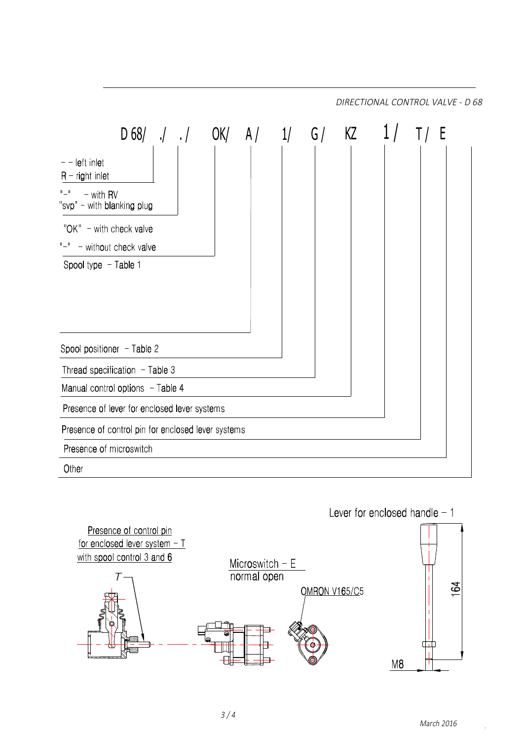